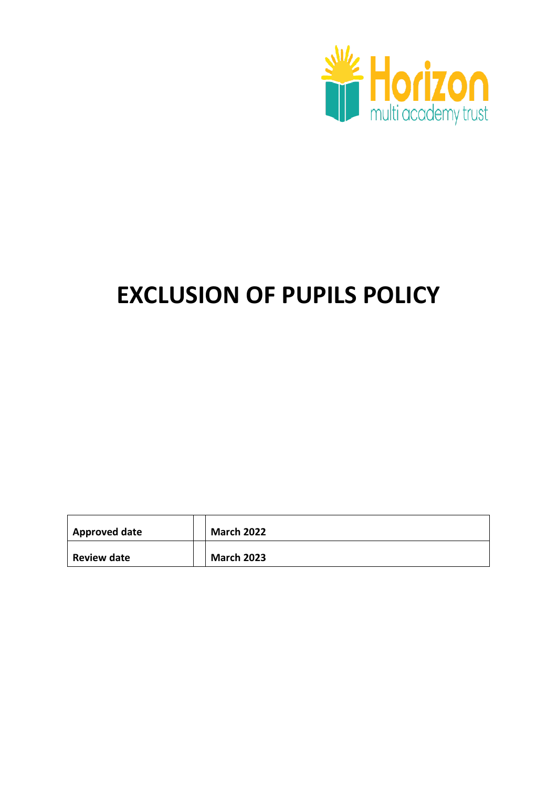

# **EXCLUSION OF PUPILS POLICY**

| <b>Approved date</b> | <b>March 2022</b> |
|----------------------|-------------------|
| <b>Review date</b>   | <b>March 2023</b> |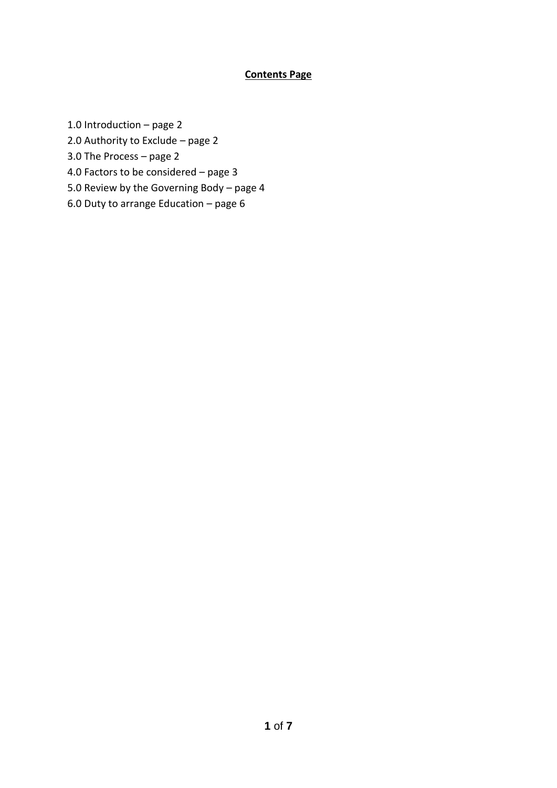#### **Contents Page**

1.0 Introduction – page 2

- 2.0 Authority to Exclude page 2
- 3.0 The Process page 2
- 4.0 Factors to be considered page 3
- 5.0 Review by the Governing Body page 4
- 6.0 Duty to arrange Education page 6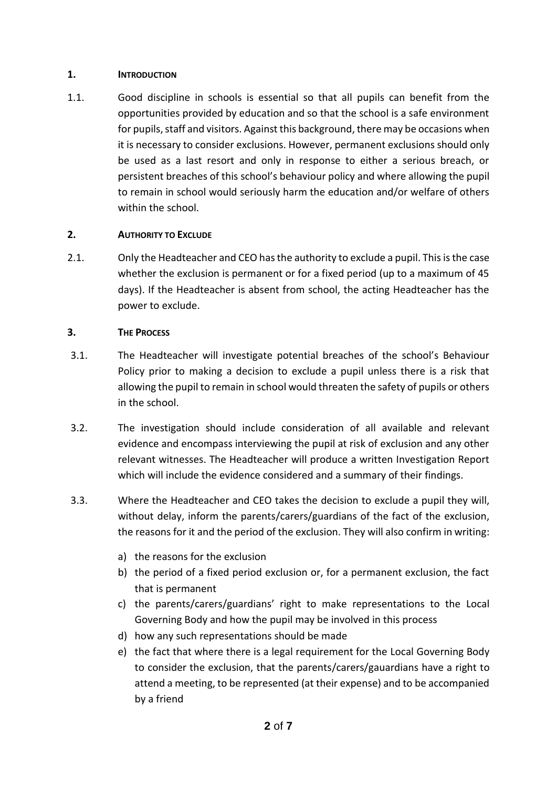#### **1. INTRODUCTION**

1.1. Good discipline in schools is essential so that all pupils can benefit from the opportunities provided by education and so that the school is a safe environment for pupils, staff and visitors. Against this background, there may be occasions when it is necessary to consider exclusions. However, permanent exclusions should only be used as a last resort and only in response to either a serious breach, or persistent breaches of this school's behaviour policy and where allowing the pupil to remain in school would seriously harm the education and/or welfare of others within the school.

#### **2. AUTHORITY TO EXCLUDE**

2.1. Only the Headteacher and CEO has the authority to exclude a pupil. This is the case whether the exclusion is permanent or for a fixed period (up to a maximum of 45 days). If the Headteacher is absent from school, the acting Headteacher has the power to exclude.

#### **3. THE PROCESS**

- 3.1. The Headteacher will investigate potential breaches of the school's Behaviour Policy prior to making a decision to exclude a pupil unless there is a risk that allowing the pupil to remain in school would threaten the safety of pupils or others in the school.
- 3.2. The investigation should include consideration of all available and relevant evidence and encompass interviewing the pupil at risk of exclusion and any other relevant witnesses. The Headteacher will produce a written Investigation Report which will include the evidence considered and a summary of their findings.
- 3.3. Where the Headteacher and CEO takes the decision to exclude a pupil they will, without delay, inform the parents/carers/guardians of the fact of the exclusion, the reasons for it and the period of the exclusion. They will also confirm in writing:
	- a) the reasons for the exclusion
	- b) the period of a fixed period exclusion or, for a permanent exclusion, the fact that is permanent
	- c) the parents/carers/guardians' right to make representations to the Local Governing Body and how the pupil may be involved in this process
	- d) how any such representations should be made
	- e) the fact that where there is a legal requirement for the Local Governing Body to consider the exclusion, that the parents/carers/gauardians have a right to attend a meeting, to be represented (at their expense) and to be accompanied by a friend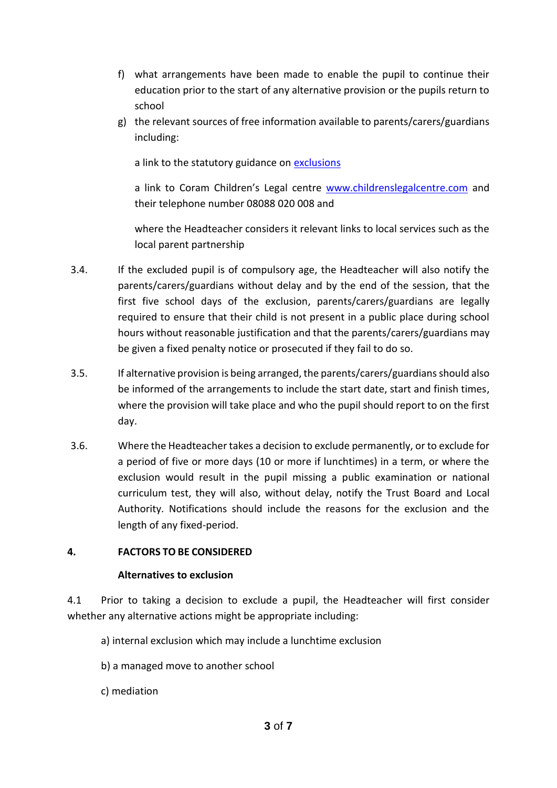- f) what arrangements have been made to enable the pupil to continue their education prior to the start of any alternative provision or the pupils return to school
- g) the relevant sources of free information available to parents/carers/guardians including:

a link to the statutory guidance on [exclusions](https://www.gov.uk/topic/schools-colleges-childrens-services/school-behaviour-attendance)

a link to Coram Children's Legal centre [www.childrenslegalcentre.com](http://www.childrenslegalcentre.com/) and their telephone number 08088 020 008 and

where the Headteacher considers it relevant links to local services such as the local parent partnership

- 3.4. If the excluded pupil is of compulsory age, the Headteacher will also notify the parents/carers/guardians without delay and by the end of the session, that the first five school days of the exclusion, parents/carers/guardians are legally required to ensure that their child is not present in a public place during school hours without reasonable justification and that the parents/carers/guardians may be given a fixed penalty notice or prosecuted if they fail to do so.
- 3.5. If alternative provision is being arranged, the parents/carers/guardiansshould also be informed of the arrangements to include the start date, start and finish times, where the provision will take place and who the pupil should report to on the first day.
- 3.6. Where the Headteacher takes a decision to exclude permanently, or to exclude for a period of five or more days (10 or more if lunchtimes) in a term, or where the exclusion would result in the pupil missing a public examination or national curriculum test, they will also, without delay, notify the Trust Board and Local Authority. Notifications should include the reasons for the exclusion and the length of any fixed-period.

#### **4. FACTORS TO BE CONSIDERED**

#### **Alternatives to exclusion**

4.1 Prior to taking a decision to exclude a pupil, the Headteacher will first consider whether any alternative actions might be appropriate including:

- a) internal exclusion which may include a lunchtime exclusion
- b) a managed move to another school
- c) mediation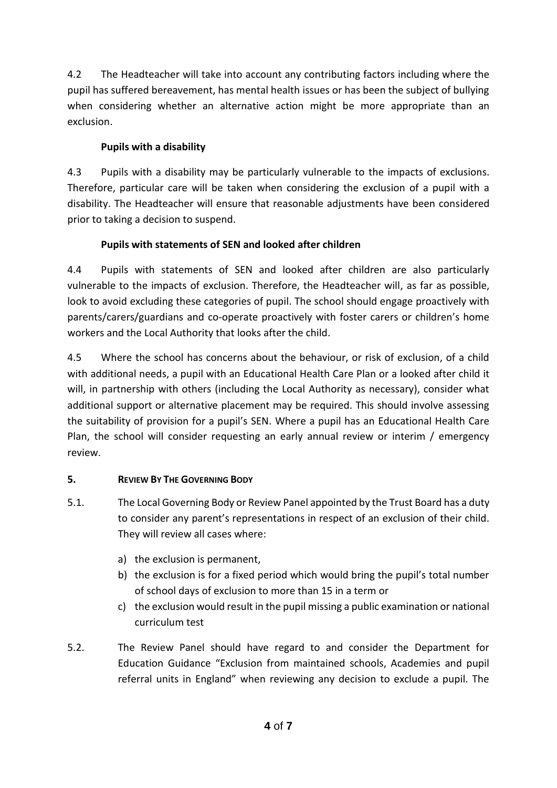4.2 The Headteacher will take into account any contributing factors including where the pupil has suffered bereavement, has mental health issues or has been the subject of bullying when considering whether an alternative action might be more appropriate than an exclusion.

## **Pupils with a disability**

4.3 Pupils with a disability may be particularly vulnerable to the impacts of exclusions. Therefore, particular care will be taken when considering the exclusion of a pupil with a disability. The Headteacher will ensure that reasonable adjustments have been considered prior to taking a decision to suspend.

# **Pupils with statements of SEN and looked after children**

4.4 Pupils with statements of SEN and looked after children are also particularly vulnerable to the impacts of exclusion. Therefore, the Headteacher will, as far as possible, look to avoid excluding these categories of pupil. The school should engage proactively with parents/carers/guardians and co-operate proactively with foster carers or children's home workers and the Local Authority that looks after the child.

4.5 Where the school has concerns about the behaviour, or risk of exclusion, of a child with additional needs, a pupil with an Educational Health Care Plan or a looked after child it will, in partnership with others (including the Local Authority as necessary), consider what additional support or alternative placement may be required. This should involve assessing the suitability of provision for a pupil's SEN. Where a pupil has an Educational Health Care Plan, the school will consider requesting an early annual review or interim / emergency review.

## **5. REVIEW BY THE GOVERNING BODY**

- 5.1. The Local Governing Body or Review Panel appointed by the Trust Board has a duty to consider any parent's representations in respect of an exclusion of their child. They will review all cases where:
	- a) the exclusion is permanent,
	- b) the exclusion is for a fixed period which would bring the pupil's total number of school days of exclusion to more than 15 in a term or
	- c) the exclusion would result in the pupil missing a public examination or national curriculum test
- 5.2. The Review Panel should have regard to and consider the Department for Education Guidance "Exclusion from maintained schools, Academies and pupil referral units in England" when reviewing any decision to exclude a pupil. The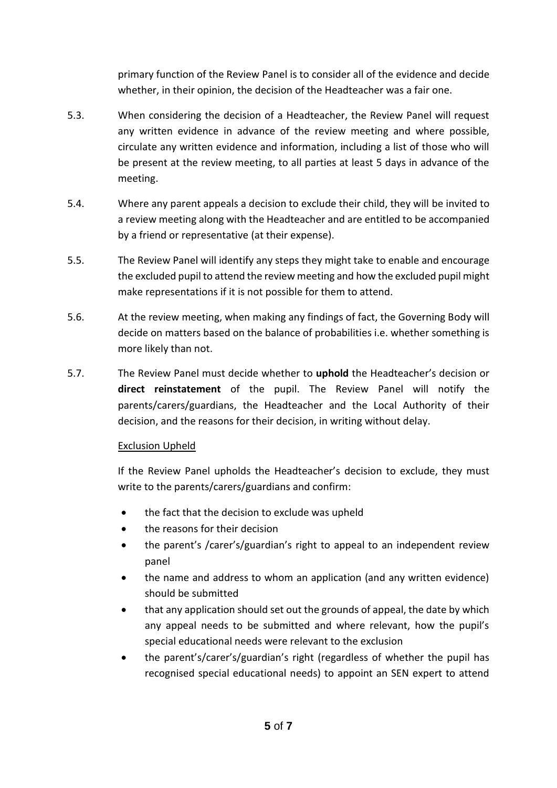primary function of the Review Panel is to consider all of the evidence and decide whether, in their opinion, the decision of the Headteacher was a fair one.

- 5.3. When considering the decision of a Headteacher, the Review Panel will request any written evidence in advance of the review meeting and where possible, circulate any written evidence and information, including a list of those who will be present at the review meeting, to all parties at least 5 days in advance of the meeting.
- 5.4. Where any parent appeals a decision to exclude their child, they will be invited to a review meeting along with the Headteacher and are entitled to be accompanied by a friend or representative (at their expense).
- 5.5. The Review Panel will identify any steps they might take to enable and encourage the excluded pupil to attend the review meeting and how the excluded pupil might make representations if it is not possible for them to attend.
- 5.6. At the review meeting, when making any findings of fact, the Governing Body will decide on matters based on the balance of probabilities i.e. whether something is more likely than not.
- 5.7. The Review Panel must decide whether to **uphold** the Headteacher's decision or **direct reinstatement** of the pupil. The Review Panel will notify the parents/carers/guardians, the Headteacher and the Local Authority of their decision, and the reasons for their decision, in writing without delay.

#### Exclusion Upheld

If the Review Panel upholds the Headteacher's decision to exclude, they must write to the parents/carers/guardians and confirm:

- the fact that the decision to exclude was upheld
- the reasons for their decision
- the parent's /carer's/guardian's right to appeal to an independent review panel
- the name and address to whom an application (and any written evidence) should be submitted
- that any application should set out the grounds of appeal, the date by which any appeal needs to be submitted and where relevant, how the pupil's special educational needs were relevant to the exclusion
- the parent's/carer's/guardian's right (regardless of whether the pupil has recognised special educational needs) to appoint an SEN expert to attend